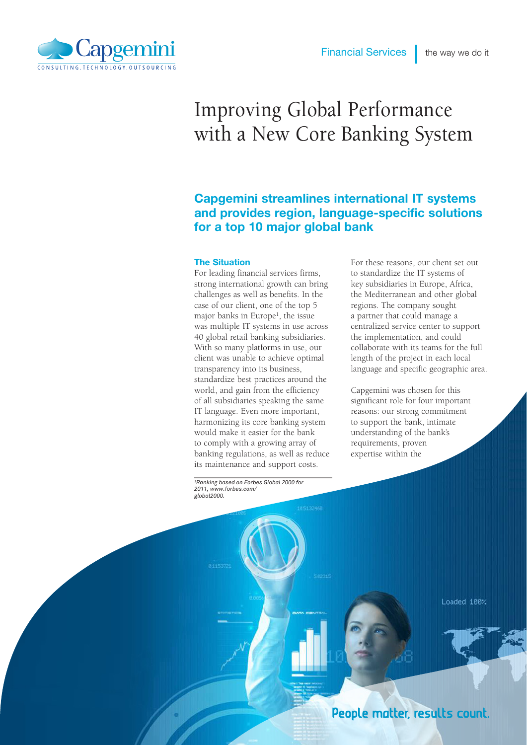

# Improving Global Performance with a New Core Banking System

# Capgemini streamlines international IT systems and provides region, language-specific solutions for a top 10 major global bank

#### The Situation

For leading financial services firms, strong international growth can bring challenges as well as benefits. In the case of our client, one of the top 5 major banks in Europe1, the issue was multiple IT systems in use across 40 global retail banking subsidiaries. With so many platforms in use, our client was unable to achieve optimal transparency into its business, standardize best practices around the world, and gain from the efficiency of all subsidiaries speaking the same IT language. Even more important, harmonizing its core banking system would make it easier for the bank to comply with a growing array of banking regulations, as well as reduce its maintenance and support costs.

For these reasons, our client set out to standardize the IT systems of key subsidiaries in Europe, Africa, the Mediterranean and other global regions. The company sought a partner that could manage a centralized service center to support the implementation, and could collaborate with its teams for the full length of the project in each local language and specific geographic area.

Capgemini was chosen for this significant role for four important reasons: our strong commitment to support the bank, intimate understanding of the bank's requirements, proven expertise within the

*1Ranking based on Forbes Global 2000 for 2011, www.forbes.com/ global2000.*

Loaded 100%

People matter, results count.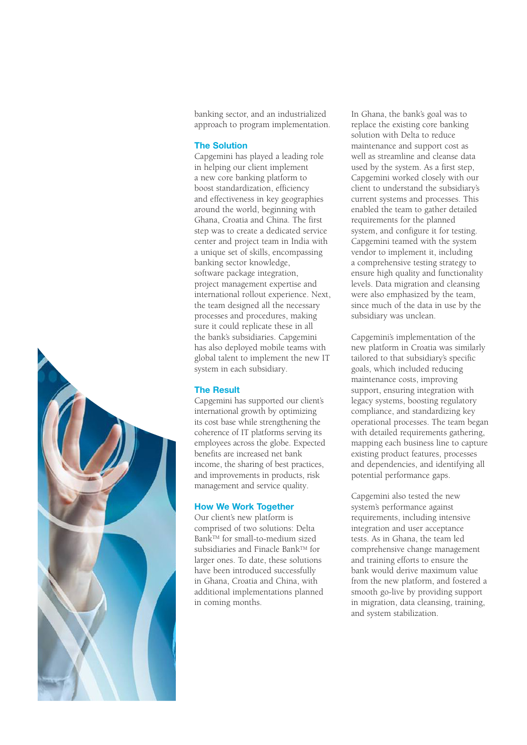banking sector, and an industrialized approach to program implementation.

#### The Solution

Capgemini has played a leading role in helping our client implement a new core banking platform to boost standardization, efficiency and effectiveness in key geographies around the world, beginning with Ghana, Croatia and China. The first step was to create a dedicated service center and project team in India with a unique set of skills, encompassing banking sector knowledge, software package integration, project management expertise and international rollout experience. Next, the team designed all the necessary processes and procedures, making sure it could replicate these in all the bank's subsidiaries. Capgemini has also deployed mobile teams with global talent to implement the new IT system in each subsidiary.

## The Result

Capgemini has supported our client's international growth by optimizing its cost base while strengthening the coherence of IT platforms serving its employees across the globe. Expected benefits are increased net bank income, the sharing of best practices, and improvements in products, risk management and service quality.

#### How We Work Together

Our client's new platform is comprised of two solutions: Delta BankTM for small-to-medium sized subsidiaries and Finacle BankTM for larger ones. To date, these solutions have been introduced successfully in Ghana, Croatia and China, with additional implementations planned in coming months.

In Ghana, the bank's goal was to replace the existing core banking solution with Delta to reduce maintenance and support cost as well as streamline and cleanse data used by the system. As a first step, Capgemini worked closely with our client to understand the subsidiary's current systems and processes. This enabled the team to gather detailed requirements for the planned system, and configure it for testing. Capgemini teamed with the system vendor to implement it, including a comprehensive testing strategy to ensure high quality and functionality levels. Data migration and cleansing were also emphasized by the team, since much of the data in use by the subsidiary was unclean.

Capgemini's implementation of the new platform in Croatia was similarly tailored to that subsidiary's specific goals, which included reducing maintenance costs, improving support, ensuring integration with legacy systems, boosting regulatory compliance, and standardizing key operational processes. The team began with detailed requirements gathering. mapping each business line to capture existing product features, processes and dependencies, and identifying all potential performance gaps.

Capgemini also tested the new system's performance against requirements, including intensive integration and user acceptance tests. As in Ghana, the team led comprehensive change management and training efforts to ensure the bank would derive maximum value from the new platform, and fostered a smooth go-live by providing support in migration, data cleansing, training, and system stabilization.

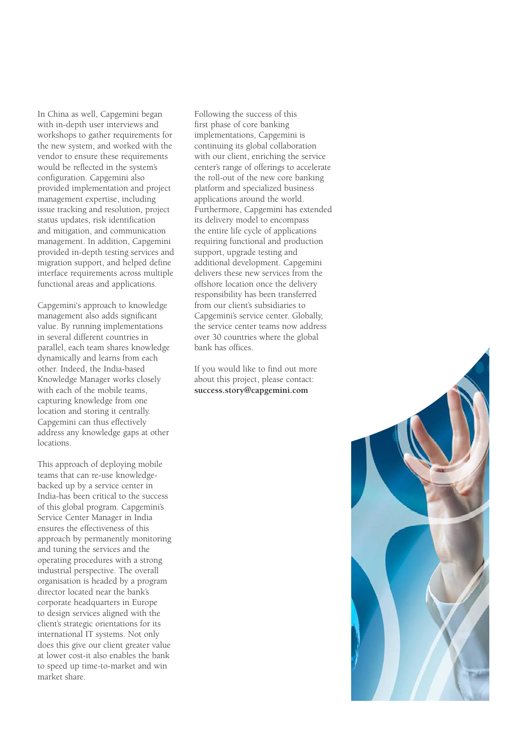In China as well, Capgemini began with in-depth user interviews and workshops to gather requirements for the new system, and worked with the vendor to ensure these requirements would be reflected in the system's configuration. Capgemini also provided implementation and project management expertise, including issue tracking and resolution, project status updates, risk identification and mitigation, and communication management. In addition, Capgemini provided in-depth testing services and migration support, and helped define interface requirements across multiple functional areas and applications.

Capgemini's approach to knowledge management also adds significant value. By running implementations in several different countries in parallel, each team shares knowledge dynamically and learns from each other. Indeed, the India-based Knowledge Manager works closely with each of the mobile teams, capturing knowledge from one location and storing it centrally. Capgemini can thus effectively address any knowledge gaps at other locations.

This approach of deploying mobile teams that can re-use knowledgebacked up by a service center in India-has been critical to the success of this global program. Capgemini's Service Center Manager in India ensures the effectiveness of this approach by permanently monitoring and tuning the services and the operating procedures with a strong industrial perspective. The overall organisation is headed by a program director located near the bank's corporate headquarters in Europe to design services aligned with the client's strategic orientations for its international IT systems. Not only does this give our client greater value at lower cost-it also enables the bank to speed up time-to-market and win market share.

Following the success of this first phase of core banking implementations, Capgemini is continuing its global collaboration with our client, enriching the service center's range of offerings to accelerate the roll-out of the new core banking platform and specialized business applications around the world. Furthermore, Capgemini has extended its delivery model to encompass the entire life cycle of applications requiring functional and production support, upgrade testing and additional development. Capgemini delivers these new services from the offshore location once the delivery responsibility has been transferred from our client's subsidiaries to Capgemini's service center. Globally, the service center teams now address over 30 countries where the global bank has offices.

If you would like to find out more about this project, please contact: **success.story@capgemini.com**